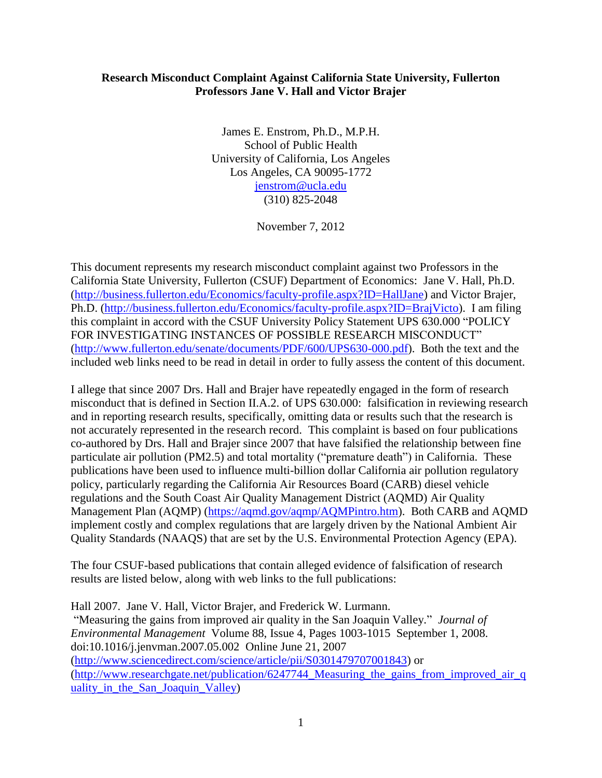## **Research Misconduct Complaint Against California State University, Fullerton Professors Jane V. Hall and Victor Brajer**

James E. Enstrom, Ph.D., M.P.H. School of Public Health University of California, Los Angeles Los Angeles, CA 90095-1772 [jenstrom@ucla.edu](mailto:jenstrom@ucla.edu) (310) 825-2048

November 7, 2012

This document represents my research misconduct complaint against two Professors in the California State University, Fullerton (CSUF) Department of Economics: Jane V. Hall, Ph.D. [\(http://business.fullerton.edu/Economics/faculty-profile.aspx?ID=HallJane\)](http://business.fullerton.edu/Economics/faculty-profile.aspx?ID=HallJane) and Victor Brajer, Ph.D. [\(http://business.fullerton.edu/Economics/faculty-profile.aspx?ID=BrajVicto\)](http://business.fullerton.edu/Economics/faculty-profile.aspx?ID=BrajVicto). I am filing this complaint in accord with the CSUF University Policy Statement UPS 630.000 "POLICY FOR INVESTIGATING INSTANCES OF POSSIBLE RESEARCH MISCONDUCT" [\(http://www.fullerton.edu/senate/documents/PDF/600/UPS630-000.pdf\)](http://www.fullerton.edu/senate/documents/PDF/600/UPS630-000.pdf). Both the text and the included web links need to be read in detail in order to fully assess the content of this document.

I allege that since 2007 Drs. Hall and Brajer have repeatedly engaged in the form of research misconduct that is defined in Section II.A.2. of UPS 630.000: falsification in reviewing research and in reporting research results, specifically, omitting data or results such that the research is not accurately represented in the research record. This complaint is based on four publications co-authored by Drs. Hall and Brajer since 2007 that have falsified the relationship between fine particulate air pollution (PM2.5) and total mortality ("premature death") in California. These publications have been used to influence multi-billion dollar California air pollution regulatory policy, particularly regarding the California Air Resources Board (CARB) diesel vehicle regulations and the South Coast Air Quality Management District (AQMD) Air Quality Management Plan (AQMP) [\(https://aqmd.gov/aqmp/AQMPintro.htm\)](https://aqmd.gov/aqmp/AQMPintro.htm). Both CARB and AQMD implement costly and complex regulations that are largely driven by the National Ambient Air Quality Standards (NAAQS) that are set by the U.S. Environmental Protection Agency (EPA).

The four CSUF-based publications that contain alleged evidence of falsification of research results are listed below, along with web links to the full publications:

Hall 2007. Jane V. Hall, Victor Brajer, and Frederick W. Lurmann. "Measuring the gains from improved air quality in the San Joaquin Valley." *Journal of Environmental Management* Volume 88, Issue 4, Pages 1003-1015 September 1, 2008. doi:10.1016/j.jenvman.2007.05.002 Online June 21, 2007 [\(http://www.sciencedirect.com/science/article/pii/S0301479707001843\)](http://www.sciencedirect.com/science/article/pii/S0301479707001843) or (http://www.researchgate.net/publication/6247744 Measuring the gains from improved air q [uality\\_in\\_the\\_San\\_Joaquin\\_Valley\)](http://www.researchgate.net/publication/6247744_Measuring_the_gains_from_improved_air_quality_in_the_San_Joaquin_Valley)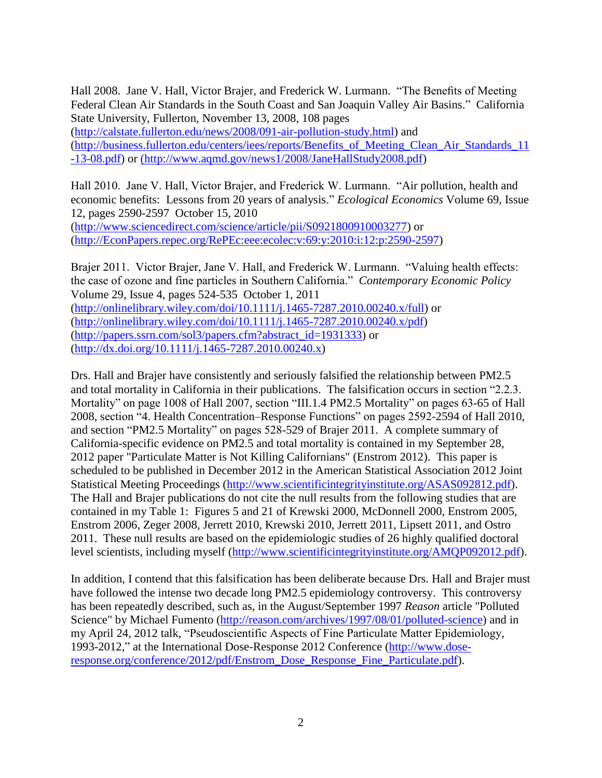Hall 2008. Jane V. Hall, Victor Brajer, and Frederick W. Lurmann. "The Benefits of Meeting Federal Clean Air Standards in the South Coast and San Joaquin Valley Air Basins." California State University, Fullerton, November 13, 2008, 108 pages

[\(http://calstate.fullerton.edu/news/2008/091-air-pollution-study.html\)](http://calstate.fullerton.edu/news/2008/091-air-pollution-study.html) and [\(http://business.fullerton.edu/centers/iees/reports/Benefits\\_of\\_Meeting\\_Clean\\_Air\\_Standards\\_11](http://business.fullerton.edu/centers/iees/reports/Benefits_of_Meeting_Clean_Air_Standards_11-13-08.pdf) [-13-08.pdf\)](http://business.fullerton.edu/centers/iees/reports/Benefits_of_Meeting_Clean_Air_Standards_11-13-08.pdf) or [\(http://www.aqmd.gov/news1/2008/JaneHallStudy2008.pdf\)](../Users/James%20E%20Enstrom/appdata/roaming/qualcomm/eudora/Users/James%20E%20Enstrom/appdata/roaming/qualcomm/eudora/attach/(http:/www.aqmd.gov/news1/2008/JaneHallStudy2008.pdf)

Hall 2010. Jane V. Hall, Victor Brajer, and Frederick W. Lurmann. "Air pollution, health and economic benefits: Lessons from 20 years of analysis." *Ecological Economics* Volume 69, Issue 12, pages 2590-2597 October 15, 2010

[\(http://www.sciencedirect.com/science/article/pii/S0921800910003277\)](http://www.sciencedirect.com/science/article/pii/S0921800910003277) or [\(http://EconPapers.repec.org/RePEc:eee:ecolec:v:69:y:2010:i:12:p:2590-2597\)](http://econpapers.repec.org/RePEc:eee:ecolec:v:69:y:2010:i:12:p:2590-2597)

Brajer 2011. Victor Brajer, Jane V. Hall, and Frederick W. Lurmann. "Valuing health effects: the case of ozone and fine particles in Southern California." *Contemporary Economic Policy* Volume 29, Issue 4, pages 524-535 October 1, 2011 [\(http://onlinelibrary.wiley.com/doi/10.1111/j.1465-7287.2010.00240.x/full\)](http://onlinelibrary.wiley.com/doi/10.1111/j.1465-7287.2010.00240.x/full) or [\(http://onlinelibrary.wiley.com/doi/10.1111/j.1465-7287.2010.00240.x/pdf\)](http://onlinelibrary.wiley.com/doi/10.1111/j.1465-7287.2010.00240.x/pdf) [\(http://papers.ssrn.com/sol3/papers.cfm?abstract\\_id=1931333\)](http://papers.ssrn.com/sol3/papers.cfm?abstract_id=1931333) or [\(http://dx.doi.org/10.1111/j.1465-7287.2010.00240.x\)](http://dx.doi.org/10.1111/j.1465-7287.2010.00240.x)

Drs. Hall and Brajer have consistently and seriously falsified the relationship between PM2.5 and total mortality in California in their publications. The falsification occurs in section "2.2.3. Mortality" on page 1008 of Hall 2007, section "III.1.4 PM2.5 Mortality" on pages 63-65 of Hall 2008, section "4. Health Concentration–Response Functions" on pages 2592-2594 of Hall 2010, and section "PM2.5 Mortality" on pages 528-529 of Brajer 2011. A complete summary of California-specific evidence on PM2.5 and total mortality is contained in my September 28, 2012 paper "Particulate Matter is Not Killing Californians" (Enstrom 2012). This paper is scheduled to be published in December 2012 in the American Statistical Association 2012 Joint Statistical Meeting Proceedings [\(http://www.scientificintegrityinstitute.org/ASAS092812.pdf\)](http://www.scientificintegrityinstitute.org/ASAS092812.pdf). The Hall and Brajer publications do not cite the null results from the following studies that are contained in my Table 1: Figures 5 and 21 of Krewski 2000, McDonnell 2000, Enstrom 2005, Enstrom 2006, Zeger 2008, Jerrett 2010, Krewski 2010, Jerrett 2011, Lipsett 2011, and Ostro 2011. These null results are based on the epidemiologic studies of 26 highly qualified doctoral level scientists, including myself [\(http://www.scientificintegrityinstitute.org/AMQP092012.pdf\)](http://www.scientificintegrityinstitute.org/AMQP092012.pdf).

In addition, I contend that this falsification has been deliberate because Drs. Hall and Brajer must have followed the intense two decade long PM2.5 epidemiology controversy. This controversy has been repeatedly described, such as, in the August/September 1997 *Reason* article "Polluted Science" by Michael Fumento [\(http://reason.com/archives/1997/08/01/polluted-science\)](http://reason.com/archives/1997/08/01/polluted-science) and in my April 24, 2012 talk, "Pseudoscientific Aspects of Fine Particulate Matter Epidemiology, 1993-2012," at the International Dose-Response 2012 Conference [\(http://www.dose](http://www.dose-response.org/conference/2012/pdf/Enstrom_Dose_Response_Fine_Particulate.pdf)[response.org/conference/2012/pdf/Enstrom\\_Dose\\_Response\\_Fine\\_Particulate.pdf\)](http://www.dose-response.org/conference/2012/pdf/Enstrom_Dose_Response_Fine_Particulate.pdf).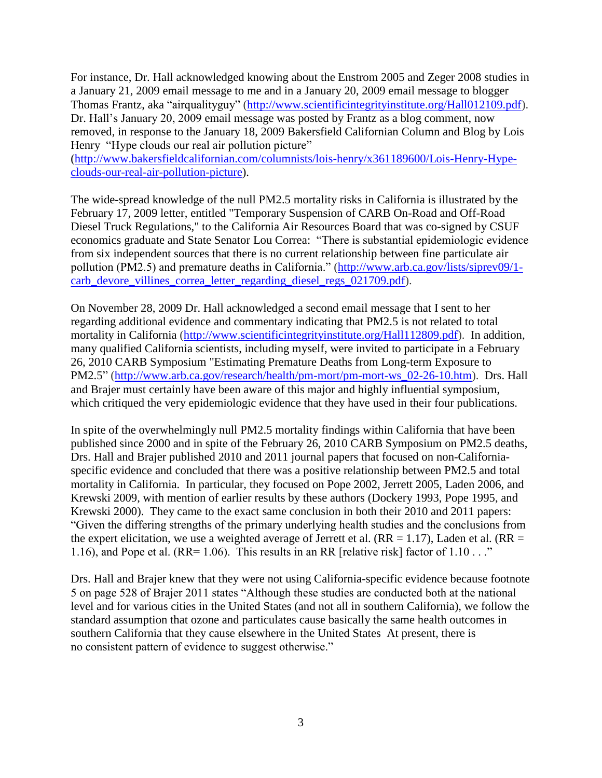For instance, Dr. Hall acknowledged knowing about the Enstrom 2005 and Zeger 2008 studies in a January 21, 2009 email message to me and in a January 20, 2009 email message to blogger Thomas Frantz, aka "airqualityguy" [\(http://www.scientificintegrityinstitute.org/Hall012109.pdf\)](http://www.scientificintegrityinstitute.org/hall012109.pdf). Dr. Hall's January 20, 2009 email message was posted by Frantz as a blog comment, now removed, in response to the January 18, 2009 Bakersfield Californian Column and Blog by Lois Henry "Hype clouds our real air pollution picture"

[\(http://www.bakersfieldcalifornian.com/columnists/lois-henry/x361189600/Lois-Henry-Hype](http://www.bakersfieldcalifornian.com/columnists/lois-henry/x361189600/Lois-Henry-Hype-clouds-our-real-air-pollution-picture)[clouds-our-real-air-pollution-picture\)](http://www.bakersfieldcalifornian.com/columnists/lois-henry/x361189600/Lois-Henry-Hype-clouds-our-real-air-pollution-picture).

The wide-spread knowledge of the null PM2.5 mortality risks in California is illustrated by the February 17, 2009 letter, entitled "Temporary Suspension of CARB On-Road and Off-Road Diesel Truck Regulations," to the California Air Resources Board that was co-signed by CSUF economics graduate and State Senator Lou Correa: "There is substantial epidemiologic evidence from six independent sources that there is no current relationship between fine particulate air pollution (PM2.5) and premature deaths in California." [\(http://www.arb.ca.gov/lists/siprev09/1](http://www.arb.ca.gov/lists/siprev09/1-carb_devore_villines_correa_letter_regarding_diesel_regs_021709.pdf) [carb\\_devore\\_villines\\_correa\\_letter\\_regarding\\_diesel\\_regs\\_021709.pdf\)](http://www.arb.ca.gov/lists/siprev09/1-carb_devore_villines_correa_letter_regarding_diesel_regs_021709.pdf).

On November 28, 2009 Dr. Hall acknowledged a second email message that I sent to her regarding additional evidence and commentary indicating that PM2.5 is not related to total mortality in California [\(http://www.scientificintegrityinstitute.org/Hall112809.pdf\)](http://www.scientificintegrityinstitute.org/Hall112809.pdf). In addition, many qualified California scientists, including myself, were invited to participate in a February 26, 2010 CARB Symposium "Estimating Premature Deaths from Long-term Exposure to PM2.5" [\(http://www.arb.ca.gov/research/health/pm-mort/pm-mort-ws\\_02-26-10.htm\)](http://www.arb.ca.gov/research/health/pm-mort/pm-mort-ws_02-26-10.htm). Drs. Hall and Brajer must certainly have been aware of this major and highly influential symposium, which critiqued the very epidemiologic evidence that they have used in their four publications.

In spite of the overwhelmingly null PM2.5 mortality findings within California that have been published since 2000 and in spite of the February 26, 2010 CARB Symposium on PM2.5 deaths, Drs. Hall and Brajer published 2010 and 2011 journal papers that focused on non-Californiaspecific evidence and concluded that there was a positive relationship between PM2.5 and total mortality in California. In particular, they focused on Pope 2002, Jerrett 2005, Laden 2006, and Krewski 2009, with mention of earlier results by these authors (Dockery 1993, Pope 1995, and Krewski 2000). They came to the exact same conclusion in both their 2010 and 2011 papers: "Given the differing strengths of the primary underlying health studies and the conclusions from the expert elicitation, we use a weighted average of Jerrett et al. ( $RR = 1.17$ ), Laden et al. ( $RR = 1.17$ ) 1.16), and Pope et al. (RR= 1.06). This results in an RR [relative risk] factor of  $1.10...$ "

Drs. Hall and Brajer knew that they were not using California-specific evidence because footnote 5 on page 528 of Brajer 2011 states "Although these studies are conducted both at the national level and for various cities in the United States (and not all in southern California), we follow the standard assumption that ozone and particulates cause basically the same health outcomes in southern California that they cause elsewhere in the United States At present, there is no consistent pattern of evidence to suggest otherwise."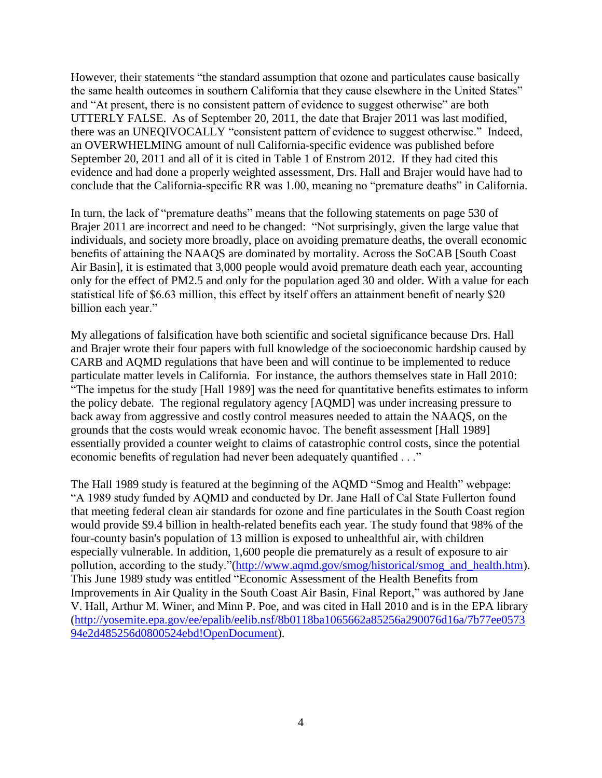However, their statements "the standard assumption that ozone and particulates cause basically the same health outcomes in southern California that they cause elsewhere in the United States" and "At present, there is no consistent pattern of evidence to suggest otherwise" are both UTTERLY FALSE. As of September 20, 2011, the date that Brajer 2011 was last modified, there was an UNEQIVOCALLY "consistent pattern of evidence to suggest otherwise." Indeed, an OVERWHELMING amount of null California-specific evidence was published before September 20, 2011 and all of it is cited in Table 1 of Enstrom 2012. If they had cited this evidence and had done a properly weighted assessment, Drs. Hall and Brajer would have had to conclude that the California-specific RR was 1.00, meaning no "premature deaths" in California.

In turn, the lack of "premature deaths" means that the following statements on page 530 of Brajer 2011 are incorrect and need to be changed: "Not surprisingly, given the large value that individuals, and society more broadly, place on avoiding premature deaths, the overall economic benefits of attaining the NAAQS are dominated by mortality. Across the SoCAB [South Coast Air Basin], it is estimated that 3,000 people would avoid premature death each year, accounting only for the effect of PM2.5 and only for the population aged 30 and older. With a value for each statistical life of \$6.63 million, this effect by itself offers an attainment benefit of nearly \$20 billion each year."

My allegations of falsification have both scientific and societal significance because Drs. Hall and Brajer wrote their four papers with full knowledge of the socioeconomic hardship caused by CARB and AQMD regulations that have been and will continue to be implemented to reduce particulate matter levels in California. For instance, the authors themselves state in Hall 2010: "The impetus for the study [Hall 1989] was the need for quantitative benefits estimates to inform the policy debate. The regional regulatory agency [AQMD] was under increasing pressure to back away from aggressive and costly control measures needed to attain the NAAQS, on the grounds that the costs would wreak economic havoc. The benefit assessment [Hall 1989] essentially provided a counter weight to claims of catastrophic control costs, since the potential economic benefits of regulation had never been adequately quantified . . ."

The Hall 1989 study is featured at the beginning of the AQMD "Smog and Health" webpage: "A 1989 study funded by AQMD and conducted by Dr. Jane Hall of Cal State Fullerton found that meeting federal clean air standards for ozone and fine particulates in the South Coast region would provide \$9.4 billion in health-related benefits each year. The study found that 98% of the four-county basin's population of 13 million is exposed to unhealthful air, with children especially vulnerable. In addition, 1,600 people die prematurely as a result of exposure to air pollution, according to the study."[\(http://www.aqmd.gov/smog/historical/smog\\_and\\_health.htm\)](http://www.aqmd.gov/smog/historical/smog_and_health.htm). This June 1989 study was entitled "Economic Assessment of the Health Benefits from Improvements in Air Quality in the South Coast Air Basin, Final Report," was authored by Jane V. Hall, Arthur M. Winer, and Minn P. Poe, and was cited in Hall 2010 and is in the EPA library [\(http://yosemite.epa.gov/ee/epalib/eelib.nsf/8b0118ba1065662a85256a290076d16a/7b77ee0573](http://yosemite.epa.gov/ee/epalib/eelib.nsf/8b0118ba1065662a85256a290076d16a/7b77ee057394e2d485256d0800524ebd!OpenDocument) [94e2d485256d0800524ebd!OpenDocument\)](http://yosemite.epa.gov/ee/epalib/eelib.nsf/8b0118ba1065662a85256a290076d16a/7b77ee057394e2d485256d0800524ebd!OpenDocument).